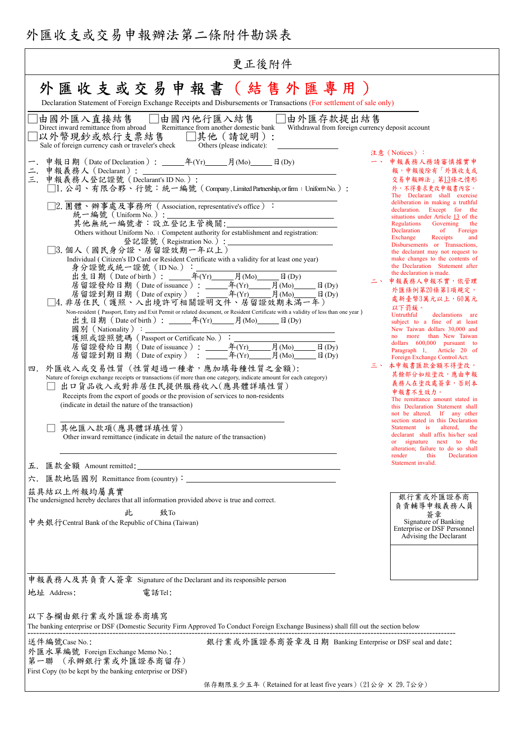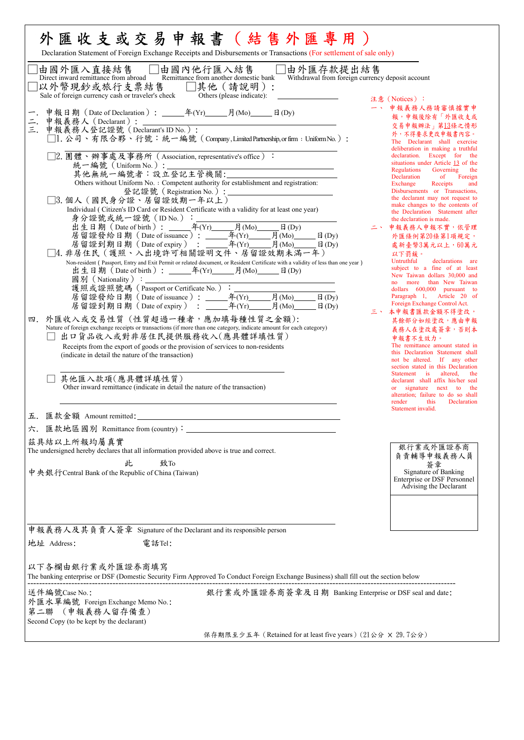| 外 匯 收 支 或 交 易 申 報 書 ( 結 售 外 匯 專 用 )<br>Declaration Statement of Foreign Exchange Receipts and Disbursements or Transactions (For settlement of sale only)                                                                                                                                                                                                                                                                                                                                                                                                                                                                                                                                                                                                                                                                                                                                                                                                                                                                                                                                                                                                                                                                                                                                                                                                                                                                                                   |                                                                                                                                                                                                                                                                                                                                                                                                                                                                                                                                                                                                                                                                                                                                                                                                                                                                                                                                                                                                                                                                                                                                                                                                                                                                                                                            |
|-------------------------------------------------------------------------------------------------------------------------------------------------------------------------------------------------------------------------------------------------------------------------------------------------------------------------------------------------------------------------------------------------------------------------------------------------------------------------------------------------------------------------------------------------------------------------------------------------------------------------------------------------------------------------------------------------------------------------------------------------------------------------------------------------------------------------------------------------------------------------------------------------------------------------------------------------------------------------------------------------------------------------------------------------------------------------------------------------------------------------------------------------------------------------------------------------------------------------------------------------------------------------------------------------------------------------------------------------------------------------------------------------------------------------------------------------------------|----------------------------------------------------------------------------------------------------------------------------------------------------------------------------------------------------------------------------------------------------------------------------------------------------------------------------------------------------------------------------------------------------------------------------------------------------------------------------------------------------------------------------------------------------------------------------------------------------------------------------------------------------------------------------------------------------------------------------------------------------------------------------------------------------------------------------------------------------------------------------------------------------------------------------------------------------------------------------------------------------------------------------------------------------------------------------------------------------------------------------------------------------------------------------------------------------------------------------------------------------------------------------------------------------------------------------|
| □由國內他行匯入結售 □由外匯存款提出結售<br>Remittance from another domestic bank Withdrawal from foreign currency deposit account<br>由國外匯入直接結售<br>Direct inward remittance from abroad<br>]以外幣現鈔或旅行支票結售<br>Sale of foreign currency cash or traveler's check<br>□其他 (請說明):<br>Others (please indicate):                                                                                                                                                                                                                                                                                                                                                                                                                                                                                                                                                                                                                                                                                                                                                                                                                                                                                                                                                                                                                                                                                                                                                                       | 注意 (Notices):                                                                                                                                                                                                                                                                                                                                                                                                                                                                                                                                                                                                                                                                                                                                                                                                                                                                                                                                                                                                                                                                                                                                                                                                                                                                                                              |
| 申報義務人(Declarant):<br>申報義務人登記證號(Declarant's ID No.):<br>二.<br>□1. 公司、有限合夥、行號:統一編號 (Company,LimitedPartnership,or firm: Uniform No.):<br>□2.團體、辦事處及事務所 (Association, representative's office):<br>統一編號 (Uniform No.):<br>Others without Uniform No. : Competent authority for establishment and registration:<br>登記證號 (Registration No.):<br>□3. 個人 (國民身分證、居留證效期一年以上)<br>Individual (Citizen's ID Card or Resident Certificate with a validity for at least one year)<br>□4. 非居住民 (護照、入出境許可相關證明文件、居留證效期未滿一年)<br>Non-resident (Passport, Entry and Exit Permit or related document, or Resident Certificate with a validity of less than one year)<br>國別 (Nationality): ________<br>護照或證照號碼 (Passport or Certificate No.):<br>月 $(Mo)$<br>$\Box$ (Dy)<br>$\boxplus$ (Dy)<br>四. 外匯收入或交易性質 (性質超過一種者,應加填每種性質之金額):<br>Nature of foreign exchange receipts or transactions (if more than one category, indicate amount for each category)<br>出口貨品收入或對非居住民提供服務收入(應具體詳填性質)<br>Receipts from the export of goods or the provision of services to non-residents<br>(indicate in detail the nature of the transaction)<br>其他匯入款項(應具體詳填性質)<br>Other inward remittance (indicate in detail the nature of the transaction)<br>五. 匯款金額 Amount remitted:<br>六. 匯款地區國別 Remittance from (country):<br>茲具結以上所報均屬真實<br>The undersigned hereby declares that all information provided above is true and correct.<br>此<br>致To<br>中央銀行Central Bank of the Republic of China (Taiwan) | 一、 申報義務人務請審慎據實申<br>報,申報後除有「外匯收支或<br>交易申報辦法」第13條之情形<br>外,不得要求更改申報書內容。<br>The Declarant shall exercise<br>deliberation in making a truthful<br>declaration. Except for the<br>situations under Article 13 of the<br>Regulations<br>Governing<br>the<br>Declaration<br>of Foreign<br>Exchange<br>Receipts<br>and<br>Disbursements or Transactions,<br>the declarant may not request to<br>make changes to the contents of<br>the Declaration Statement after<br>the declaration is made.<br>二、 申報義務人申報不實,依管理<br>外匯條例第20條第1項規定,<br>處新臺幣3萬元以上,60萬元<br>以下罰鍰。<br>Untruthful<br>declarations are<br>subject to a fine of at least<br>New Taiwan dollars 30,000 and<br>no more than New Taiwan<br>dollars 600,000 pursuant to<br>Paragraph 1, Article 20 of<br>Foreign Exchange Control Act.<br>三、 本申報書匯款金額不得塗改,<br>其餘部分如經塗改,應由申報<br>義務人在塗改處簽章,否則本<br>申報書不生效力。<br>The remittance amount stated in<br>this Declaration Statement shall<br>not be altered. If any other<br>section stated in this Declaration<br>Statement is altered,<br>the<br>declarant shall affix his/her seal<br>or signature next to the<br>alteration; failure to do so shall<br>render<br>this<br>Declaration<br>Statement invalid.<br>銀行業或外匯證券商<br>負責輔導申報義務人員<br>簽章<br>Signature of Banking<br><b>Enterprise or DSF Personnel</b><br>Advising the Declarant |
| 申報義務人及其負責人簽章 Signature of the Declarant and its responsible person<br>地址 Address:<br>電話Tel:                                                                                                                                                                                                                                                                                                                                                                                                                                                                                                                                                                                                                                                                                                                                                                                                                                                                                                                                                                                                                                                                                                                                                                                                                                                                                                                                                                 |                                                                                                                                                                                                                                                                                                                                                                                                                                                                                                                                                                                                                                                                                                                                                                                                                                                                                                                                                                                                                                                                                                                                                                                                                                                                                                                            |
| 以下各欄由銀行業或外匯證券商填寫<br>The banking enterprise or DSF (Domestic Security Firm Approved To Conduct Foreign Exchange Business) shall fill out the section below                                                                                                                                                                                                                                                                                                                                                                                                                                                                                                                                                                                                                                                                                                                                                                                                                                                                                                                                                                                                                                                                                                                                                                                                                                                                                                   |                                                                                                                                                                                                                                                                                                                                                                                                                                                                                                                                                                                                                                                                                                                                                                                                                                                                                                                                                                                                                                                                                                                                                                                                                                                                                                                            |
| 送件編號Case No.:<br>銀行業或外匯證券商簽章及日期 Banking Enterprise or DSF seal and date:<br>外匯水單編號 Foreign Exchange Memo No.:<br>第二聯 (申報義務人留存備查)<br>Second Copy (to be kept by the declarant)                                                                                                                                                                                                                                                                                                                                                                                                                                                                                                                                                                                                                                                                                                                                                                                                                                                                                                                                                                                                                                                                                                                                                                                                                                                                               |                                                                                                                                                                                                                                                                                                                                                                                                                                                                                                                                                                                                                                                                                                                                                                                                                                                                                                                                                                                                                                                                                                                                                                                                                                                                                                                            |
| 保存期限至少五年 (Retained for at least five years) (21公分 × 29.7公分)                                                                                                                                                                                                                                                                                                                                                                                                                                                                                                                                                                                                                                                                                                                                                                                                                                                                                                                                                                                                                                                                                                                                                                                                                                                                                                                                                                                                 |                                                                                                                                                                                                                                                                                                                                                                                                                                                                                                                                                                                                                                                                                                                                                                                                                                                                                                                                                                                                                                                                                                                                                                                                                                                                                                                            |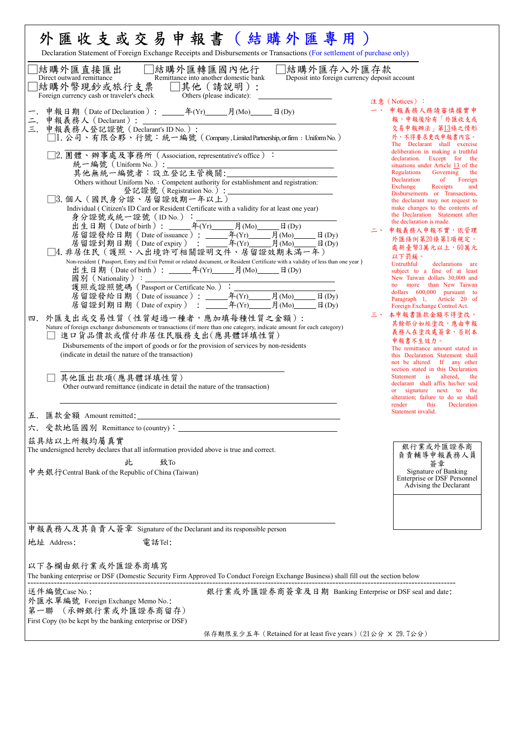| □結購外匯轉匯國內他行<br>□結購外匯存入外匯存款<br> 結購外匯直接匯出<br>Direct outward remittance<br>Remittance into another domestic bank<br>Deposit into foreign currency deposit account<br>]結購外幣現鈔或旅行支票 □其他(請說明):                                                                                                                                                                                                                                                                                                                                                                                                                                                                                                                                                                                                                                                                                                                                                                                                                                                                                                                                                                                                                                                                                                                                                                                                                                                                                                                      |                                                                                                                                                                                                                                                                                                                                                                                                                                                                                                                                                                                                                                                                                                                                                                                                                                                                                                                                                                                                                                                                                                                                                                                                                                                                                                                                |
|---------------------------------------------------------------------------------------------------------------------------------------------------------------------------------------------------------------------------------------------------------------------------------------------------------------------------------------------------------------------------------------------------------------------------------------------------------------------------------------------------------------------------------------------------------------------------------------------------------------------------------------------------------------------------------------------------------------------------------------------------------------------------------------------------------------------------------------------------------------------------------------------------------------------------------------------------------------------------------------------------------------------------------------------------------------------------------------------------------------------------------------------------------------------------------------------------------------------------------------------------------------------------------------------------------------------------------------------------------------------------------------------------------------------------------------------------------------------------------------------------------------|--------------------------------------------------------------------------------------------------------------------------------------------------------------------------------------------------------------------------------------------------------------------------------------------------------------------------------------------------------------------------------------------------------------------------------------------------------------------------------------------------------------------------------------------------------------------------------------------------------------------------------------------------------------------------------------------------------------------------------------------------------------------------------------------------------------------------------------------------------------------------------------------------------------------------------------------------------------------------------------------------------------------------------------------------------------------------------------------------------------------------------------------------------------------------------------------------------------------------------------------------------------------------------------------------------------------------------|
| Others (please indicate):<br>Foreign currency cash or traveler's check<br>三. 申報義務人登記證號 (Declarant's ID No.):<br>□1. 公司、有限合夥、行號:統一編號 (Company,LimitedPartnership, or firm: Uniform No.)<br>□2. 團體、辦事處及事務所 (Association, representative's office):<br>統一編號 (Uniform No.):<br>Others without Uniform No. : Competent authority for establishment and registration:<br>□3. 個人 (國民身分證、居留證效期一年以上)<br>Individual (Citizen's ID Card or Resident Certificate with a validity for at least one year)<br>$\boxplus$ (Dy)<br>□4. 非居住民 (護照、入出境許可相關證明文件、居留證效期未滿一年)<br>Non-resident (Passport, Entry and Exit Permit or related document, or Resident Certificate with a validity of less than one year)<br>護照或證照號碼(Passport or Certificate No.):<br><br>居留證發給日期(Data of iccurrent)<br>$\boxplus$ (Dy)<br>$\boxplus$ (Dy)<br>四. 外匯支出或交易性質 (性質超過一種者,應加填每種性質之金額):<br>Nature of foreign exchange disbursements or transactions (if more than one category, indicate amount for each category)<br>進口貨品價款或償付非居住民服務支出(應具體詳填性質)<br>Disbursements of the import of goods or for the provision of services by non-residents<br>(indicate in detail the nature of the transaction)<br>其他匯出款項(應具體詳填性質)<br>Other outward remittance (indicate in detail the nature of the transaction)<br>五. 匯款金額 Amount remitted:<br>六. 受款地區國別 Remittance to (country): _<br>茲具結以上所報均屬真實<br>The undersigned hereby declares that all information provided above is true and correct.<br>此<br>致To<br>中央銀行Central Bank of the Republic of China (Taiwan) | 注意 (Notices):<br>一、 申報義務人務請審慎據實申<br>報,申報後除有「外匯收支或<br>交易申報辦法」第13條之情形<br>外,不得要求更改申報書內容。<br>The Declarant shall exercise<br>deliberation in making a truthful<br>declaration. Except for the<br>situations under Article 13 of the<br>Regulations Governing<br>the<br>Declaration<br>of Foreign<br>Exchange<br>Receipts<br>and<br>Disbursements or Transactions,<br>the declarant may not request to<br>make changes to the contents of<br>the Declaration Statement after<br>the declaration is made.<br>二、 申報義務人申報不實,依管理<br>外匯條例第20條第1項規定,<br>處新臺幣3萬元以上,60萬元<br>以下罰鍰。<br>Untruthful<br>declarations are<br>subject to a fine of at least<br>New Taiwan dollars 30,000 and<br>no more than New Taiwan<br>dollars 600,000 pursuant to<br>Paragraph 1, Article 20 of<br>Foreign Exchange Control Act.<br>三、 本申報書匯款金額不得塗改,<br>其餘部分如經塗改,應由申報<br>義務人在塗改處簽章,否則本<br>申報書不生效力。<br>The remittance amount stated in<br>this Declaration Statement shall<br>not be altered. If any other<br>section stated in this Declaration<br>Statement is altered, the<br>declarant shall affix his/her seal<br>or signature next to the<br>alteration; failure to do so shall<br>render<br>this<br>Declaration<br>Statement invalid.<br>銀行業或外匯證券商<br>負責輔導申報義務人員<br>簽章<br>Signature of Banking<br>Enterprise or DSF Personnel<br>Advising the Declarant |
| 申報義務人及其負責人簽章 Signature of the Declarant and its responsible person<br>地址 Address:<br>電話Tel:                                                                                                                                                                                                                                                                                                                                                                                                                                                                                                                                                                                                                                                                                                                                                                                                                                                                                                                                                                                                                                                                                                                                                                                                                                                                                                                                                                                                                   |                                                                                                                                                                                                                                                                                                                                                                                                                                                                                                                                                                                                                                                                                                                                                                                                                                                                                                                                                                                                                                                                                                                                                                                                                                                                                                                                |
| 以下各欄由銀行業或外匯證券商填寫<br>The banking enterprise or DSF (Domestic Security Firm Approved To Conduct Foreign Exchange Business) shall fill out the section below                                                                                                                                                                                                                                                                                                                                                                                                                                                                                                                                                                                                                                                                                                                                                                                                                                                                                                                                                                                                                                                                                                                                                                                                                                                                                                                                                     |                                                                                                                                                                                                                                                                                                                                                                                                                                                                                                                                                                                                                                                                                                                                                                                                                                                                                                                                                                                                                                                                                                                                                                                                                                                                                                                                |
| 銀行業或外匯證券商簽章及日期 Banking Enterprise or DSF seal and date:<br>送件編號Case No.:<br>外匯水單編號 Foreign Exchange Memo No.:                                                                                                                                                                                                                                                                                                                                                                                                                                                                                                                                                                                                                                                                                                                                                                                                                                                                                                                                                                                                                                                                                                                                                                                                                                                                                                                                                                                                 |                                                                                                                                                                                                                                                                                                                                                                                                                                                                                                                                                                                                                                                                                                                                                                                                                                                                                                                                                                                                                                                                                                                                                                                                                                                                                                                                |
| 第一聯 (承辦銀行業或外匯證券商留存)<br>First Copy (to be kept by the banking enterprise or DSF)                                                                                                                                                                                                                                                                                                                                                                                                                                                                                                                                                                                                                                                                                                                                                                                                                                                                                                                                                                                                                                                                                                                                                                                                                                                                                                                                                                                                                               |                                                                                                                                                                                                                                                                                                                                                                                                                                                                                                                                                                                                                                                                                                                                                                                                                                                                                                                                                                                                                                                                                                                                                                                                                                                                                                                                |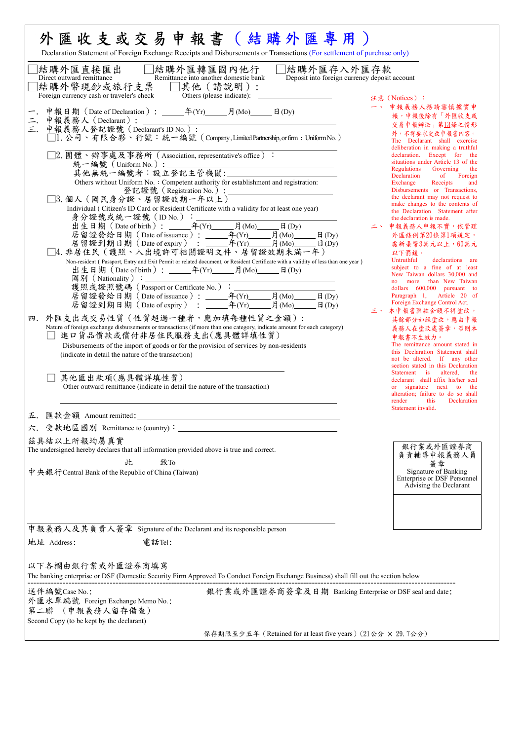| □結購外匯轉匯國內他行<br>□結購外匯存入外匯存款<br> 結購外匯直接匯出<br>Direct outward remittance<br>Remittance into another domestic bank<br>Deposit into foreign currency deposit account<br> 結購外幣現鈔或旅行支票 □其他(請說明):<br>Others (please indicate):<br>Foreign currency cash or traveler's check                                                                                                                                                                                                                                                                                                                                                                                                                                                                                                                                                                                                                                                                                                                                                                                                                                                                                                                                                                                                                                                                                                                                                                                                          | 注意 (Notices):                                                                                                                                                                                                                                                                                                                                                                                                                                                                                                                                                                                                                                                                                                                                                                                                                                                                                                                                                                                                                                                                                                                                                                                                                                                                                                               |
|-----------------------------------------------------------------------------------------------------------------------------------------------------------------------------------------------------------------------------------------------------------------------------------------------------------------------------------------------------------------------------------------------------------------------------------------------------------------------------------------------------------------------------------------------------------------------------------------------------------------------------------------------------------------------------------------------------------------------------------------------------------------------------------------------------------------------------------------------------------------------------------------------------------------------------------------------------------------------------------------------------------------------------------------------------------------------------------------------------------------------------------------------------------------------------------------------------------------------------------------------------------------------------------------------------------------------------------------------------------------------------------------------------------------------------------------------------------------------------|-----------------------------------------------------------------------------------------------------------------------------------------------------------------------------------------------------------------------------------------------------------------------------------------------------------------------------------------------------------------------------------------------------------------------------------------------------------------------------------------------------------------------------------------------------------------------------------------------------------------------------------------------------------------------------------------------------------------------------------------------------------------------------------------------------------------------------------------------------------------------------------------------------------------------------------------------------------------------------------------------------------------------------------------------------------------------------------------------------------------------------------------------------------------------------------------------------------------------------------------------------------------------------------------------------------------------------|
| $\overline{\phantom{a}}$ :<br>申報義務人 (Declarant): ___________<br>三. 申報義務人登記證號 (Declarant's ID No.):<br>□1. 公司、有限合夥、行號:統一編號 (Company,Limited Partnership, or firm: Uniform No.)<br>□2.團體、辦事處及事務所 (Association, representative's office):<br>統一編號 (Uniform No.):<br>Others without Uniform No. : Competent authority for establishment and registration:<br>□3. 個人 (國民身分證、居留證效期一年以上)<br>Individual (Citizen's ID Card or Resident Certificate with a validity for at least one year)<br>居留證發給日期 (Date of issuance): _______年(Yr)______月(Mo)_____日(Dy)<br>□4. 非居住民(護照、入出境許可相關證明文件、居留證效期未滿一年)<br>Non-resident (Passport, Entry and Exit Permit or related document, or Resident Certificate with a validity of less than one year)<br>$\boxplus$ (Dy)<br>$\exists$ (Dy)<br>四. 外匯支出或交易性質 (性質超過一種者,應加填每種性質之金額):<br>Nature of foreign exchange disbursements or transactions (if more than one category, indicate amount for each category)<br>進口貨品價款或償付非居住民服務支出(應具體詳填性質)<br>Disbursements of the import of goods or for the provision of services by non-residents<br>(indicate in detail the nature of the transaction)<br>其他匯出款項(應具體詳填性質)<br>Other outward remittance (indicate in detail the nature of the transaction)<br>五. 匯款金額 Amount remitted:<br>六. 受款地區國別 Remittance to (country): ________<br>茲具結以上所報均屬真實<br>The undersigned hereby declares that all information provided above is true and correct.<br>致To<br>此<br>中央銀行Central Bank of the Republic of China (Taiwan) | $\rightarrow$<br>申報義務人務請審慎據實申<br>報,申報後除有「外匯收支或<br>交易申報辦法」第13條之情形<br>外,不得要求更改申報書內容。<br>The Declarant shall exercise<br>deliberation in making a truthful<br>declaration. Except for the<br>situations under Article 13 of the<br>Regulations Governing the<br>Declaration<br>of Foreign<br>Exchange<br>Receipts<br>and<br>Disbursements or Transactions,<br>the declarant may not request to<br>make changes to the contents of<br>the Declaration Statement after<br>the declaration is made.<br>二、 申報義務人申報不實,依管理<br>外匯條例第20條第1項規定,<br>處新臺幣3萬元以上,60萬元<br>以下罰錄。<br>Untruthful<br>declarations are<br>subject to a fine of at least<br>New Taiwan dollars 30,000 and<br>no more than New Taiwan<br>dollars 600,000 pursuant to<br>Paragraph 1, Article 20 of<br>Foreign Exchange Control Act.<br>三、 本申報書匯款金額不得塗改,<br>其餘部分如經塗改,應由申報<br>義務人在塗改處簽章,否則本<br>申報書不生效力。<br>The remittance amount stated in<br>this Declaration Statement shall<br>not be altered. If any other<br>section stated in this Declaration<br>Statement is altered.<br>the<br>declarant shall affix his/her seal<br>or signature next to the<br>alteration; failure to do so shall<br>this<br>Declaration<br>render<br>Statement invalid.<br>銀行業或外匯證券商<br>負責輔導申報義務人員<br>簽章<br>Signature of Banking<br>Enterprise or DSF Personnel<br>Advising the Declarant |
| 申報義務人及其負責人簽章 Signature of the Declarant and its responsible person<br>地址 Address:<br>電話Tel:                                                                                                                                                                                                                                                                                                                                                                                                                                                                                                                                                                                                                                                                                                                                                                                                                                                                                                                                                                                                                                                                                                                                                                                                                                                                                                                                                                                 |                                                                                                                                                                                                                                                                                                                                                                                                                                                                                                                                                                                                                                                                                                                                                                                                                                                                                                                                                                                                                                                                                                                                                                                                                                                                                                                             |
| 以下各欄由銀行業或外匯證券商填寫                                                                                                                                                                                                                                                                                                                                                                                                                                                                                                                                                                                                                                                                                                                                                                                                                                                                                                                                                                                                                                                                                                                                                                                                                                                                                                                                                                                                                                                            |                                                                                                                                                                                                                                                                                                                                                                                                                                                                                                                                                                                                                                                                                                                                                                                                                                                                                                                                                                                                                                                                                                                                                                                                                                                                                                                             |
| The banking enterprise or DSF (Domestic Security Firm Approved To Conduct Foreign Exchange Business) shall fill out the section below                                                                                                                                                                                                                                                                                                                                                                                                                                                                                                                                                                                                                                                                                                                                                                                                                                                                                                                                                                                                                                                                                                                                                                                                                                                                                                                                       |                                                                                                                                                                                                                                                                                                                                                                                                                                                                                                                                                                                                                                                                                                                                                                                                                                                                                                                                                                                                                                                                                                                                                                                                                                                                                                                             |
|                                                                                                                                                                                                                                                                                                                                                                                                                                                                                                                                                                                                                                                                                                                                                                                                                                                                                                                                                                                                                                                                                                                                                                                                                                                                                                                                                                                                                                                                             |                                                                                                                                                                                                                                                                                                                                                                                                                                                                                                                                                                                                                                                                                                                                                                                                                                                                                                                                                                                                                                                                                                                                                                                                                                                                                                                             |
| 銀行業或外匯證券商簽章及日期 Banking Enterprise or DSF seal and date:<br>送件編號Case No.:<br>外匯水單編號 Foreign Exchange Memo No.:<br>第二聯 (申報義務人留存備查)<br>Second Copy (to be kept by the declarant)                                                                                                                                                                                                                                                                                                                                                                                                                                                                                                                                                                                                                                                                                                                                                                                                                                                                                                                                                                                                                                                                                                                                                                                                                                                                                               |                                                                                                                                                                                                                                                                                                                                                                                                                                                                                                                                                                                                                                                                                                                                                                                                                                                                                                                                                                                                                                                                                                                                                                                                                                                                                                                             |